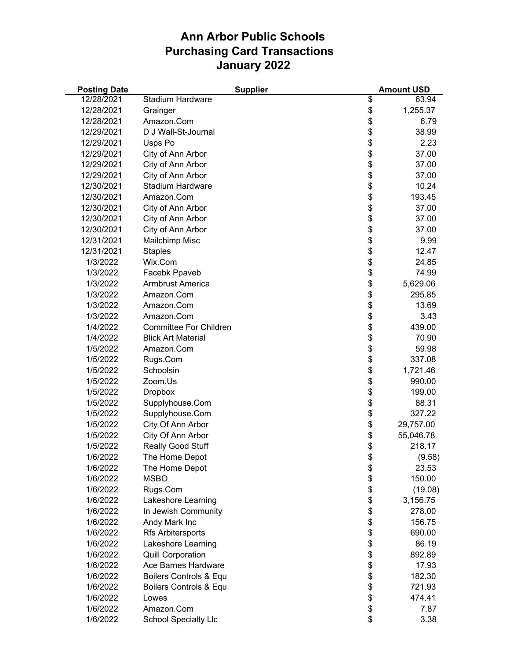| <b>Posting Date</b> | <b>Supplier</b>               | <b>Amount USD</b> |
|---------------------|-------------------------------|-------------------|
| 12/28/2021          | Stadium Hardware              | \$<br>63.94       |
| 12/28/2021          | Grainger                      | \$<br>1,255.37    |
| 12/28/2021          | Amazon.Com                    | \$<br>6.79        |
| 12/29/2021          | D J Wall-St-Journal           | \$<br>38.99       |
| 12/29/2021          | Usps Po                       | \$<br>2.23        |
| 12/29/2021          | City of Ann Arbor             | \$<br>37.00       |
| 12/29/2021          | City of Ann Arbor             | \$<br>37.00       |
| 12/29/2021          | City of Ann Arbor             | \$<br>37.00       |
| 12/30/2021          | <b>Stadium Hardware</b>       | \$<br>10.24       |
| 12/30/2021          | Amazon.Com                    | \$<br>193.45      |
| 12/30/2021          | City of Ann Arbor             | \$<br>37.00       |
| 12/30/2021          | City of Ann Arbor             | \$<br>37.00       |
| 12/30/2021          | City of Ann Arbor             | \$<br>37.00       |
| 12/31/2021          | Mailchimp Misc                | \$<br>9.99        |
| 12/31/2021          | <b>Staples</b>                | \$<br>12.47       |
| 1/3/2022            | Wix.Com                       | \$<br>24.85       |
| 1/3/2022            | Facebk Ppaveb                 | \$<br>74.99       |
| 1/3/2022            | Armbrust America              | \$<br>5,629.06    |
| 1/3/2022            | Amazon.Com                    | \$<br>295.85      |
| 1/3/2022            | Amazon.Com                    | \$<br>13.69       |
| 1/3/2022            | Amazon.Com                    | \$<br>3.43        |
| 1/4/2022            | <b>Committee For Children</b> | \$<br>439.00      |
| 1/4/2022            | <b>Blick Art Material</b>     | \$<br>70.90       |
| 1/5/2022            | Amazon.Com                    | \$<br>59.98       |
| 1/5/2022            | Rugs.Com                      | \$<br>337.08      |
| 1/5/2022            | Schoolsin                     | \$<br>1,721.46    |
| 1/5/2022            | Zoom.Us                       | \$<br>990.00      |
| 1/5/2022            | <b>Dropbox</b>                | \$<br>199.00      |
| 1/5/2022            | Supplyhouse.Com               | \$<br>88.31       |
| 1/5/2022            | Supplyhouse.Com               | \$<br>327.22      |
| 1/5/2022            | City Of Ann Arbor             | \$<br>29,757.00   |
| 1/5/2022            | City Of Ann Arbor             | \$<br>55,046.78   |
| 1/5/2022            | Really Good Stuff             | \$<br>218.17      |
| 1/6/2022            | The Home Depot                | \$<br>(9.58)      |
| 1/6/2022            | The Home Depot                | \$<br>23.53       |
| 1/6/2022            | <b>MSBO</b>                   | \$<br>150.00      |
| 1/6/2022            | Rugs.Com                      | \$<br>(19.08)     |
| 1/6/2022            | Lakeshore Learning            | \$<br>3,156.75    |
| 1/6/2022            | In Jewish Community           | \$<br>278.00      |
| 1/6/2022            | Andy Mark Inc                 | \$<br>156.75      |
| 1/6/2022            | Rfs Arbitersports             | \$<br>690.00      |
| 1/6/2022            | Lakeshore Learning            | \$<br>86.19       |
| 1/6/2022            | <b>Quill Corporation</b>      | \$<br>892.89      |
| 1/6/2022            | Ace Barnes Hardware           | \$<br>17.93       |
| 1/6/2022            | Boilers Controls & Equ        | \$<br>182.30      |
| 1/6/2022            | Boilers Controls & Equ        | \$<br>721.93      |
| 1/6/2022            | Lowes                         | \$<br>474.41      |
| 1/6/2022            | Amazon.Com                    | \$<br>7.87        |
| 1/6/2022            | <b>School Specialty Llc</b>   | \$<br>3.38        |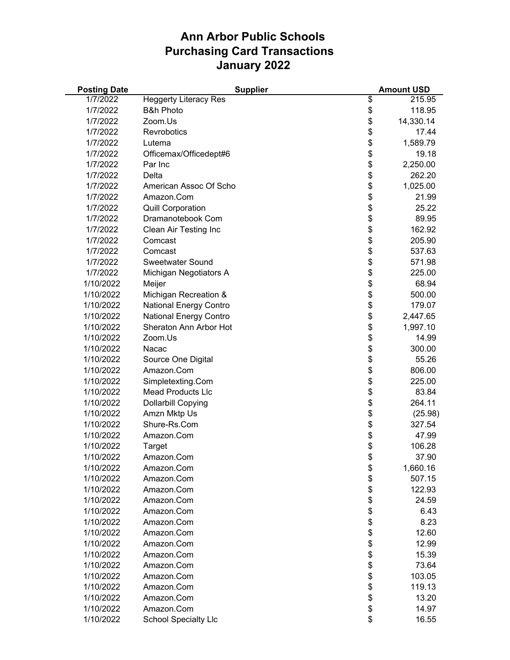| <b>Posting Date</b> | <b>Supplier</b>               | <b>Amount USD</b> |
|---------------------|-------------------------------|-------------------|
| 1/7/2022            | <b>Heggerty Literacy Res</b>  | \$<br>215.95      |
| 1/7/2022            | <b>B&amp;h Photo</b>          | \$<br>118.95      |
| 1/7/2022            | Zoom.Us                       | \$<br>14,330.14   |
| 1/7/2022            | Revrobotics                   | \$<br>17.44       |
| 1/7/2022            | Lutema                        | \$<br>1,589.79    |
| 1/7/2022            | Officemax/Officedept#6        | \$<br>19.18       |
| 1/7/2022            | Par Inc                       | \$<br>2,250.00    |
| 1/7/2022            | Delta                         | \$<br>262.20      |
| 1/7/2022            | American Assoc Of Scho        | \$<br>1,025.00    |
| 1/7/2022            | Amazon.Com                    | \$<br>21.99       |
| 1/7/2022            | <b>Quill Corporation</b>      | \$<br>25.22       |
| 1/7/2022            | Dramanotebook Com             | \$<br>89.95       |
| 1/7/2022            | Clean Air Testing Inc         | \$<br>162.92      |
| 1/7/2022            | Comcast                       | \$<br>205.90      |
| 1/7/2022            | Comcast                       | \$<br>537.63      |
| 1/7/2022            | <b>Sweetwater Sound</b>       | \$<br>571.98      |
| 1/7/2022            | Michigan Negotiators A        | \$<br>225.00      |
| 1/10/2022           | Meijer                        | \$<br>68.94       |
| 1/10/2022           | Michigan Recreation &         | \$<br>500.00      |
| 1/10/2022           | <b>National Energy Contro</b> | \$<br>179.07      |
| 1/10/2022           | <b>National Energy Contro</b> | \$<br>2,447.65    |
| 1/10/2022           | Sheraton Ann Arbor Hot        | \$<br>1,997.10    |
| 1/10/2022           | Zoom.Us                       | \$<br>14.99       |
| 1/10/2022           | Nacac                         | \$<br>300.00      |
| 1/10/2022           | Source One Digital            | \$<br>55.26       |
| 1/10/2022           | Amazon.Com                    | \$<br>806.00      |
| 1/10/2022           | Simpletexting.Com             | \$<br>225.00      |
| 1/10/2022           | <b>Mead Products Llc</b>      | \$<br>83.84       |
| 1/10/2022           | <b>Dollarbill Copying</b>     | \$<br>264.11      |
| 1/10/2022           | Amzn Mktp Us                  | \$<br>(25.98)     |
| 1/10/2022           | Shure-Rs.Com                  | \$<br>327.54      |
| 1/10/2022           | Amazon.Com                    | \$<br>47.99       |
| 1/10/2022           | Target                        | \$<br>106.28      |
| 1/10/2022           | Amazon.Com                    | \$<br>37.90       |
| 1/10/2022           | Amazon.Com                    | \$<br>1,660.16    |
| 1/10/2022           | Amazon.Com                    | \$<br>507.15      |
| 1/10/2022           | Amazon.Com                    | \$<br>122.93      |
| 1/10/2022           | Amazon.Com                    | \$<br>24.59       |
| 1/10/2022           | Amazon.Com                    | \$<br>6.43        |
| 1/10/2022           | Amazon.Com                    | \$<br>8.23        |
| 1/10/2022           | Amazon.Com                    | \$<br>12.60       |
| 1/10/2022           | Amazon.Com                    | \$<br>12.99       |
| 1/10/2022           | Amazon.Com                    | \$<br>15.39       |
| 1/10/2022           | Amazon.Com                    | \$<br>73.64       |
| 1/10/2022           | Amazon.Com                    | \$<br>103.05      |
| 1/10/2022           | Amazon.Com                    | \$<br>119.13      |
| 1/10/2022           | Amazon.Com                    | \$<br>13.20       |
| 1/10/2022           | Amazon.Com                    | \$<br>14.97       |
| 1/10/2022           | <b>School Specialty Llc</b>   | \$<br>16.55       |
|                     |                               |                   |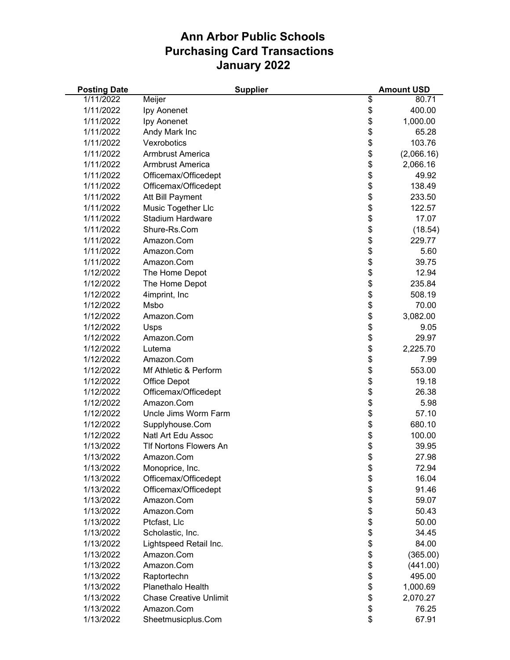| <b>Posting Date</b> |                               | <b>Supplier</b> | <b>Amount USD</b> |
|---------------------|-------------------------------|-----------------|-------------------|
| 1/11/2022           | Meijer                        | \$              | 80.71             |
| 1/11/2022           | Ipy Aonenet                   | \$              | 400.00            |
| 1/11/2022           | Ipy Aonenet                   | \$              | 1,000.00          |
| 1/11/2022           | Andy Mark Inc                 | \$              | 65.28             |
| 1/11/2022           | Vexrobotics                   | \$              | 103.76            |
| 1/11/2022           | <b>Armbrust America</b>       | \$              | (2,066.16)        |
| 1/11/2022           | <b>Armbrust America</b>       | \$              | 2,066.16          |
| 1/11/2022           | Officemax/Officedept          |                 | 49.92             |
| 1/11/2022           | Officemax/Officedept          | \$<br>\$        | 138.49            |
| 1/11/2022           | Att Bill Payment              | \$              | 233.50            |
| 1/11/2022           | Music Together Llc            | \$              | 122.57            |
| 1/11/2022           | <b>Stadium Hardware</b>       | \$              | 17.07             |
| 1/11/2022           | Shure-Rs.Com                  | \$              | (18.54)           |
| 1/11/2022           | Amazon.Com                    | \$              | 229.77            |
| 1/11/2022           | Amazon.Com                    | \$              | 5.60              |
| 1/11/2022           | Amazon.Com                    | \$              | 39.75             |
| 1/12/2022           | The Home Depot                | \$              | 12.94             |
| 1/12/2022           | The Home Depot                | \$              | 235.84            |
| 1/12/2022           | 4imprint, Inc                 | \$              | 508.19            |
| 1/12/2022           | Msbo                          | \$              | 70.00             |
| 1/12/2022           | Amazon.Com                    | \$              | 3,082.00          |
| 1/12/2022           | Usps                          | \$              | 9.05              |
| 1/12/2022           | Amazon.Com                    | \$              | 29.97             |
| 1/12/2022           | Lutema                        | \$              | 2,225.70          |
| 1/12/2022           | Amazon.Com                    | \$              | 7.99              |
| 1/12/2022           | Mf Athletic & Perform         | \$              | 553.00            |
| 1/12/2022           | <b>Office Depot</b>           | \$              | 19.18             |
| 1/12/2022           | Officemax/Officedept          | \$              | 26.38             |
| 1/12/2022           | Amazon.Com                    | \$              | 5.98              |
| 1/12/2022           | Uncle Jims Worm Farm          | \$              | 57.10             |
| 1/12/2022           | Supplyhouse.Com               | \$              | 680.10            |
| 1/12/2022           | <b>Natl Art Edu Assoc</b>     |                 | 100.00            |
| 1/13/2022           | <b>TIf Nortons Flowers An</b> | \$<br>\$        | 39.95             |
| 1/13/2022           | Amazon.Com                    | \$              | 27.98             |
| 1/13/2022           | Monoprice, Inc.               | \$              | 72.94             |
| 1/13/2022           | Officemax/Officedept          | \$              | 16.04             |
| 1/13/2022           | Officemax/Officedept          | \$              | 91.46             |
| 1/13/2022           | Amazon.Com                    | \$              | 59.07             |
| 1/13/2022           | Amazon.Com                    | \$              | 50.43             |
| 1/13/2022           | Ptcfast, Llc                  | \$              | 50.00             |
| 1/13/2022           | Scholastic, Inc.              |                 | 34.45             |
| 1/13/2022           | Lightspeed Retail Inc.        | \$<br>\$        | 84.00             |
| 1/13/2022           | Amazon.Com                    | \$              |                   |
| 1/13/2022           |                               |                 | (365.00)          |
|                     | Amazon.Com                    | \$              | (441.00)          |
| 1/13/2022           | Raptortechn                   | \$              | 495.00            |
| 1/13/2022           | Planethalo Health             | \$              | 1,000.69          |
| 1/13/2022           | <b>Chase Creative Unlimit</b> | \$              | 2,070.27          |
| 1/13/2022           | Amazon.Com                    | \$              | 76.25             |
| 1/13/2022           | Sheetmusicplus.Com            | \$              | 67.91             |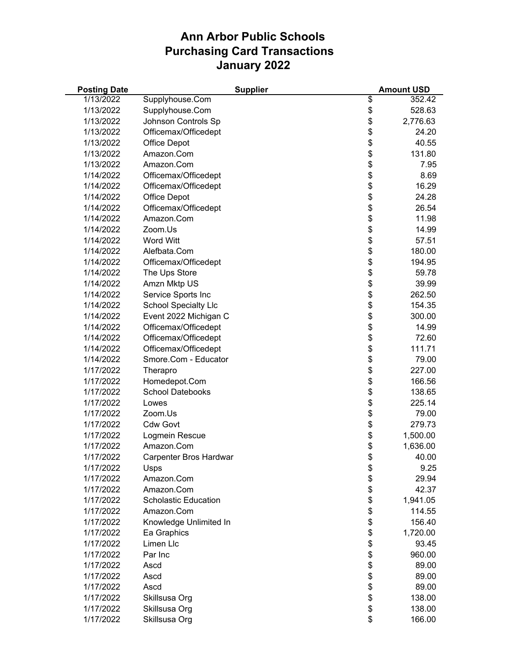| 1/13/2022<br>\$<br>Supplyhouse.Com<br>352.42<br>\$<br>1/13/2022<br>528.63<br>Supplyhouse.Com<br>\$<br>1/13/2022<br>Johnson Controls Sp<br>2,776.63<br>\$<br>1/13/2022<br>Officemax/Officedept<br>24.20<br>\$<br>1/13/2022<br>40.55<br>Office Depot<br>\$<br>Amazon.Com<br>131.80<br>1/13/2022<br>\$<br>1/13/2022<br>Amazon.Com<br>7.95<br>\$<br>1/14/2022<br>Officemax/Officedept<br>8.69<br>\$<br>16.29<br>1/14/2022<br>Officemax/Officedept<br>\$<br>1/14/2022<br>24.28<br>Office Depot<br>\$<br>1/14/2022<br>Officemax/Officedept<br>26.54<br>\$<br>1/14/2022<br>Amazon.Com<br>11.98<br>\$<br>1/14/2022<br>Zoom.Us<br>14.99<br>\$<br>1/14/2022<br><b>Word Witt</b><br>57.51<br>\$<br>Alefbata.Com<br>1/14/2022<br>180.00<br>\$<br>1/14/2022<br>Officemax/Officedept<br>194.95<br>\$<br>1/14/2022<br>The Ups Store<br>59.78<br>\$<br>Amzn Mktp US<br>1/14/2022<br>39.99<br>\$<br>Service Sports Inc<br>262.50<br>1/14/2022<br>\$<br>1/14/2022<br><b>School Specialty Llc</b><br>154.35<br>\$<br>1/14/2022<br>Event 2022 Michigan C<br>300.00<br>\$<br>1/14/2022<br>Officemax/Officedept<br>14.99<br>\$<br>Officemax/Officedept<br>1/14/2022<br>72.60<br>\$<br>1/14/2022<br>Officemax/Officedept<br>111.71<br>\$<br>1/14/2022<br>Smore.Com - Educator<br>79.00<br>\$<br>1/17/2022<br>227.00<br>Therapro<br>\$<br>Homedepot.Com<br>1/17/2022<br>166.56<br>\$<br>1/17/2022<br><b>School Datebooks</b><br>138.65<br>\$<br>1/17/2022<br>225.14<br>Lowes<br>\$<br>1/17/2022<br>Zoom.Us<br>79.00<br>\$<br>1/17/2022<br><b>Cdw Govt</b><br>279.73<br>\$<br>1/17/2022<br>Logmein Rescue<br>1,500.00<br>\$<br>1/17/2022<br>Amazon.Com<br>1,636.00<br>\$<br>1/17/2022<br>Carpenter Bros Hardwar<br>40.00<br>\$<br>1/17/2022<br>9.25<br>Usps<br>\$<br>1/17/2022<br>Amazon.Com<br>29.94<br>\$<br>Amazon.Com<br>42.37<br>1/17/2022<br>\$<br>1/17/2022<br><b>Scholastic Education</b><br>1,941.05<br>\$<br>1/17/2022<br>Amazon.Com<br>114.55<br>\$<br>1/17/2022<br>Knowledge Unlimited In<br>156.40<br>\$<br>1/17/2022<br>Ea Graphics<br>1,720.00<br>\$<br>Limen Llc<br>1/17/2022<br>93.45<br>\$<br>1/17/2022<br>Par Inc<br>960.00<br>\$<br>1/17/2022<br>89.00<br>Ascd<br>\$<br>1/17/2022<br>Ascd<br>89.00<br>\$<br>1/17/2022<br>89.00<br>Ascd<br>\$<br>1/17/2022<br>Skillsusa Org<br>138.00<br>\$<br>1/17/2022<br>Skillsusa Org<br>138.00 | <b>Posting Date</b> |               | <b>Supplier</b> | <b>Amount USD</b> |
|-------------------------------------------------------------------------------------------------------------------------------------------------------------------------------------------------------------------------------------------------------------------------------------------------------------------------------------------------------------------------------------------------------------------------------------------------------------------------------------------------------------------------------------------------------------------------------------------------------------------------------------------------------------------------------------------------------------------------------------------------------------------------------------------------------------------------------------------------------------------------------------------------------------------------------------------------------------------------------------------------------------------------------------------------------------------------------------------------------------------------------------------------------------------------------------------------------------------------------------------------------------------------------------------------------------------------------------------------------------------------------------------------------------------------------------------------------------------------------------------------------------------------------------------------------------------------------------------------------------------------------------------------------------------------------------------------------------------------------------------------------------------------------------------------------------------------------------------------------------------------------------------------------------------------------------------------------------------------------------------------------------------------------------------------------------------------------------------------------------------------------------------------------------------------------------------------------------------------------------------------------------------------------------------------------------------------------|---------------------|---------------|-----------------|-------------------|
|                                                                                                                                                                                                                                                                                                                                                                                                                                                                                                                                                                                                                                                                                                                                                                                                                                                                                                                                                                                                                                                                                                                                                                                                                                                                                                                                                                                                                                                                                                                                                                                                                                                                                                                                                                                                                                                                                                                                                                                                                                                                                                                                                                                                                                                                                                                               |                     |               |                 |                   |
|                                                                                                                                                                                                                                                                                                                                                                                                                                                                                                                                                                                                                                                                                                                                                                                                                                                                                                                                                                                                                                                                                                                                                                                                                                                                                                                                                                                                                                                                                                                                                                                                                                                                                                                                                                                                                                                                                                                                                                                                                                                                                                                                                                                                                                                                                                                               |                     |               |                 |                   |
|                                                                                                                                                                                                                                                                                                                                                                                                                                                                                                                                                                                                                                                                                                                                                                                                                                                                                                                                                                                                                                                                                                                                                                                                                                                                                                                                                                                                                                                                                                                                                                                                                                                                                                                                                                                                                                                                                                                                                                                                                                                                                                                                                                                                                                                                                                                               |                     |               |                 |                   |
|                                                                                                                                                                                                                                                                                                                                                                                                                                                                                                                                                                                                                                                                                                                                                                                                                                                                                                                                                                                                                                                                                                                                                                                                                                                                                                                                                                                                                                                                                                                                                                                                                                                                                                                                                                                                                                                                                                                                                                                                                                                                                                                                                                                                                                                                                                                               |                     |               |                 |                   |
|                                                                                                                                                                                                                                                                                                                                                                                                                                                                                                                                                                                                                                                                                                                                                                                                                                                                                                                                                                                                                                                                                                                                                                                                                                                                                                                                                                                                                                                                                                                                                                                                                                                                                                                                                                                                                                                                                                                                                                                                                                                                                                                                                                                                                                                                                                                               |                     |               |                 |                   |
|                                                                                                                                                                                                                                                                                                                                                                                                                                                                                                                                                                                                                                                                                                                                                                                                                                                                                                                                                                                                                                                                                                                                                                                                                                                                                                                                                                                                                                                                                                                                                                                                                                                                                                                                                                                                                                                                                                                                                                                                                                                                                                                                                                                                                                                                                                                               |                     |               |                 |                   |
|                                                                                                                                                                                                                                                                                                                                                                                                                                                                                                                                                                                                                                                                                                                                                                                                                                                                                                                                                                                                                                                                                                                                                                                                                                                                                                                                                                                                                                                                                                                                                                                                                                                                                                                                                                                                                                                                                                                                                                                                                                                                                                                                                                                                                                                                                                                               |                     |               |                 |                   |
|                                                                                                                                                                                                                                                                                                                                                                                                                                                                                                                                                                                                                                                                                                                                                                                                                                                                                                                                                                                                                                                                                                                                                                                                                                                                                                                                                                                                                                                                                                                                                                                                                                                                                                                                                                                                                                                                                                                                                                                                                                                                                                                                                                                                                                                                                                                               |                     |               |                 |                   |
|                                                                                                                                                                                                                                                                                                                                                                                                                                                                                                                                                                                                                                                                                                                                                                                                                                                                                                                                                                                                                                                                                                                                                                                                                                                                                                                                                                                                                                                                                                                                                                                                                                                                                                                                                                                                                                                                                                                                                                                                                                                                                                                                                                                                                                                                                                                               |                     |               |                 |                   |
|                                                                                                                                                                                                                                                                                                                                                                                                                                                                                                                                                                                                                                                                                                                                                                                                                                                                                                                                                                                                                                                                                                                                                                                                                                                                                                                                                                                                                                                                                                                                                                                                                                                                                                                                                                                                                                                                                                                                                                                                                                                                                                                                                                                                                                                                                                                               |                     |               |                 |                   |
|                                                                                                                                                                                                                                                                                                                                                                                                                                                                                                                                                                                                                                                                                                                                                                                                                                                                                                                                                                                                                                                                                                                                                                                                                                                                                                                                                                                                                                                                                                                                                                                                                                                                                                                                                                                                                                                                                                                                                                                                                                                                                                                                                                                                                                                                                                                               |                     |               |                 |                   |
|                                                                                                                                                                                                                                                                                                                                                                                                                                                                                                                                                                                                                                                                                                                                                                                                                                                                                                                                                                                                                                                                                                                                                                                                                                                                                                                                                                                                                                                                                                                                                                                                                                                                                                                                                                                                                                                                                                                                                                                                                                                                                                                                                                                                                                                                                                                               |                     |               |                 |                   |
|                                                                                                                                                                                                                                                                                                                                                                                                                                                                                                                                                                                                                                                                                                                                                                                                                                                                                                                                                                                                                                                                                                                                                                                                                                                                                                                                                                                                                                                                                                                                                                                                                                                                                                                                                                                                                                                                                                                                                                                                                                                                                                                                                                                                                                                                                                                               |                     |               |                 |                   |
|                                                                                                                                                                                                                                                                                                                                                                                                                                                                                                                                                                                                                                                                                                                                                                                                                                                                                                                                                                                                                                                                                                                                                                                                                                                                                                                                                                                                                                                                                                                                                                                                                                                                                                                                                                                                                                                                                                                                                                                                                                                                                                                                                                                                                                                                                                                               |                     |               |                 |                   |
|                                                                                                                                                                                                                                                                                                                                                                                                                                                                                                                                                                                                                                                                                                                                                                                                                                                                                                                                                                                                                                                                                                                                                                                                                                                                                                                                                                                                                                                                                                                                                                                                                                                                                                                                                                                                                                                                                                                                                                                                                                                                                                                                                                                                                                                                                                                               |                     |               |                 |                   |
|                                                                                                                                                                                                                                                                                                                                                                                                                                                                                                                                                                                                                                                                                                                                                                                                                                                                                                                                                                                                                                                                                                                                                                                                                                                                                                                                                                                                                                                                                                                                                                                                                                                                                                                                                                                                                                                                                                                                                                                                                                                                                                                                                                                                                                                                                                                               |                     |               |                 |                   |
|                                                                                                                                                                                                                                                                                                                                                                                                                                                                                                                                                                                                                                                                                                                                                                                                                                                                                                                                                                                                                                                                                                                                                                                                                                                                                                                                                                                                                                                                                                                                                                                                                                                                                                                                                                                                                                                                                                                                                                                                                                                                                                                                                                                                                                                                                                                               |                     |               |                 |                   |
|                                                                                                                                                                                                                                                                                                                                                                                                                                                                                                                                                                                                                                                                                                                                                                                                                                                                                                                                                                                                                                                                                                                                                                                                                                                                                                                                                                                                                                                                                                                                                                                                                                                                                                                                                                                                                                                                                                                                                                                                                                                                                                                                                                                                                                                                                                                               |                     |               |                 |                   |
|                                                                                                                                                                                                                                                                                                                                                                                                                                                                                                                                                                                                                                                                                                                                                                                                                                                                                                                                                                                                                                                                                                                                                                                                                                                                                                                                                                                                                                                                                                                                                                                                                                                                                                                                                                                                                                                                                                                                                                                                                                                                                                                                                                                                                                                                                                                               |                     |               |                 |                   |
|                                                                                                                                                                                                                                                                                                                                                                                                                                                                                                                                                                                                                                                                                                                                                                                                                                                                                                                                                                                                                                                                                                                                                                                                                                                                                                                                                                                                                                                                                                                                                                                                                                                                                                                                                                                                                                                                                                                                                                                                                                                                                                                                                                                                                                                                                                                               |                     |               |                 |                   |
|                                                                                                                                                                                                                                                                                                                                                                                                                                                                                                                                                                                                                                                                                                                                                                                                                                                                                                                                                                                                                                                                                                                                                                                                                                                                                                                                                                                                                                                                                                                                                                                                                                                                                                                                                                                                                                                                                                                                                                                                                                                                                                                                                                                                                                                                                                                               |                     |               |                 |                   |
|                                                                                                                                                                                                                                                                                                                                                                                                                                                                                                                                                                                                                                                                                                                                                                                                                                                                                                                                                                                                                                                                                                                                                                                                                                                                                                                                                                                                                                                                                                                                                                                                                                                                                                                                                                                                                                                                                                                                                                                                                                                                                                                                                                                                                                                                                                                               |                     |               |                 |                   |
|                                                                                                                                                                                                                                                                                                                                                                                                                                                                                                                                                                                                                                                                                                                                                                                                                                                                                                                                                                                                                                                                                                                                                                                                                                                                                                                                                                                                                                                                                                                                                                                                                                                                                                                                                                                                                                                                                                                                                                                                                                                                                                                                                                                                                                                                                                                               |                     |               |                 |                   |
|                                                                                                                                                                                                                                                                                                                                                                                                                                                                                                                                                                                                                                                                                                                                                                                                                                                                                                                                                                                                                                                                                                                                                                                                                                                                                                                                                                                                                                                                                                                                                                                                                                                                                                                                                                                                                                                                                                                                                                                                                                                                                                                                                                                                                                                                                                                               |                     |               |                 |                   |
|                                                                                                                                                                                                                                                                                                                                                                                                                                                                                                                                                                                                                                                                                                                                                                                                                                                                                                                                                                                                                                                                                                                                                                                                                                                                                                                                                                                                                                                                                                                                                                                                                                                                                                                                                                                                                                                                                                                                                                                                                                                                                                                                                                                                                                                                                                                               |                     |               |                 |                   |
|                                                                                                                                                                                                                                                                                                                                                                                                                                                                                                                                                                                                                                                                                                                                                                                                                                                                                                                                                                                                                                                                                                                                                                                                                                                                                                                                                                                                                                                                                                                                                                                                                                                                                                                                                                                                                                                                                                                                                                                                                                                                                                                                                                                                                                                                                                                               |                     |               |                 |                   |
|                                                                                                                                                                                                                                                                                                                                                                                                                                                                                                                                                                                                                                                                                                                                                                                                                                                                                                                                                                                                                                                                                                                                                                                                                                                                                                                                                                                                                                                                                                                                                                                                                                                                                                                                                                                                                                                                                                                                                                                                                                                                                                                                                                                                                                                                                                                               |                     |               |                 |                   |
|                                                                                                                                                                                                                                                                                                                                                                                                                                                                                                                                                                                                                                                                                                                                                                                                                                                                                                                                                                                                                                                                                                                                                                                                                                                                                                                                                                                                                                                                                                                                                                                                                                                                                                                                                                                                                                                                                                                                                                                                                                                                                                                                                                                                                                                                                                                               |                     |               |                 |                   |
|                                                                                                                                                                                                                                                                                                                                                                                                                                                                                                                                                                                                                                                                                                                                                                                                                                                                                                                                                                                                                                                                                                                                                                                                                                                                                                                                                                                                                                                                                                                                                                                                                                                                                                                                                                                                                                                                                                                                                                                                                                                                                                                                                                                                                                                                                                                               |                     |               |                 |                   |
|                                                                                                                                                                                                                                                                                                                                                                                                                                                                                                                                                                                                                                                                                                                                                                                                                                                                                                                                                                                                                                                                                                                                                                                                                                                                                                                                                                                                                                                                                                                                                                                                                                                                                                                                                                                                                                                                                                                                                                                                                                                                                                                                                                                                                                                                                                                               |                     |               |                 |                   |
|                                                                                                                                                                                                                                                                                                                                                                                                                                                                                                                                                                                                                                                                                                                                                                                                                                                                                                                                                                                                                                                                                                                                                                                                                                                                                                                                                                                                                                                                                                                                                                                                                                                                                                                                                                                                                                                                                                                                                                                                                                                                                                                                                                                                                                                                                                                               |                     |               |                 |                   |
|                                                                                                                                                                                                                                                                                                                                                                                                                                                                                                                                                                                                                                                                                                                                                                                                                                                                                                                                                                                                                                                                                                                                                                                                                                                                                                                                                                                                                                                                                                                                                                                                                                                                                                                                                                                                                                                                                                                                                                                                                                                                                                                                                                                                                                                                                                                               |                     |               |                 |                   |
|                                                                                                                                                                                                                                                                                                                                                                                                                                                                                                                                                                                                                                                                                                                                                                                                                                                                                                                                                                                                                                                                                                                                                                                                                                                                                                                                                                                                                                                                                                                                                                                                                                                                                                                                                                                                                                                                                                                                                                                                                                                                                                                                                                                                                                                                                                                               |                     |               |                 |                   |
|                                                                                                                                                                                                                                                                                                                                                                                                                                                                                                                                                                                                                                                                                                                                                                                                                                                                                                                                                                                                                                                                                                                                                                                                                                                                                                                                                                                                                                                                                                                                                                                                                                                                                                                                                                                                                                                                                                                                                                                                                                                                                                                                                                                                                                                                                                                               |                     |               |                 |                   |
|                                                                                                                                                                                                                                                                                                                                                                                                                                                                                                                                                                                                                                                                                                                                                                                                                                                                                                                                                                                                                                                                                                                                                                                                                                                                                                                                                                                                                                                                                                                                                                                                                                                                                                                                                                                                                                                                                                                                                                                                                                                                                                                                                                                                                                                                                                                               |                     |               |                 |                   |
|                                                                                                                                                                                                                                                                                                                                                                                                                                                                                                                                                                                                                                                                                                                                                                                                                                                                                                                                                                                                                                                                                                                                                                                                                                                                                                                                                                                                                                                                                                                                                                                                                                                                                                                                                                                                                                                                                                                                                                                                                                                                                                                                                                                                                                                                                                                               |                     |               |                 |                   |
|                                                                                                                                                                                                                                                                                                                                                                                                                                                                                                                                                                                                                                                                                                                                                                                                                                                                                                                                                                                                                                                                                                                                                                                                                                                                                                                                                                                                                                                                                                                                                                                                                                                                                                                                                                                                                                                                                                                                                                                                                                                                                                                                                                                                                                                                                                                               |                     |               |                 |                   |
|                                                                                                                                                                                                                                                                                                                                                                                                                                                                                                                                                                                                                                                                                                                                                                                                                                                                                                                                                                                                                                                                                                                                                                                                                                                                                                                                                                                                                                                                                                                                                                                                                                                                                                                                                                                                                                                                                                                                                                                                                                                                                                                                                                                                                                                                                                                               |                     |               |                 |                   |
|                                                                                                                                                                                                                                                                                                                                                                                                                                                                                                                                                                                                                                                                                                                                                                                                                                                                                                                                                                                                                                                                                                                                                                                                                                                                                                                                                                                                                                                                                                                                                                                                                                                                                                                                                                                                                                                                                                                                                                                                                                                                                                                                                                                                                                                                                                                               |                     |               |                 |                   |
|                                                                                                                                                                                                                                                                                                                                                                                                                                                                                                                                                                                                                                                                                                                                                                                                                                                                                                                                                                                                                                                                                                                                                                                                                                                                                                                                                                                                                                                                                                                                                                                                                                                                                                                                                                                                                                                                                                                                                                                                                                                                                                                                                                                                                                                                                                                               |                     |               |                 |                   |
|                                                                                                                                                                                                                                                                                                                                                                                                                                                                                                                                                                                                                                                                                                                                                                                                                                                                                                                                                                                                                                                                                                                                                                                                                                                                                                                                                                                                                                                                                                                                                                                                                                                                                                                                                                                                                                                                                                                                                                                                                                                                                                                                                                                                                                                                                                                               |                     |               |                 |                   |
|                                                                                                                                                                                                                                                                                                                                                                                                                                                                                                                                                                                                                                                                                                                                                                                                                                                                                                                                                                                                                                                                                                                                                                                                                                                                                                                                                                                                                                                                                                                                                                                                                                                                                                                                                                                                                                                                                                                                                                                                                                                                                                                                                                                                                                                                                                                               |                     |               |                 |                   |
|                                                                                                                                                                                                                                                                                                                                                                                                                                                                                                                                                                                                                                                                                                                                                                                                                                                                                                                                                                                                                                                                                                                                                                                                                                                                                                                                                                                                                                                                                                                                                                                                                                                                                                                                                                                                                                                                                                                                                                                                                                                                                                                                                                                                                                                                                                                               |                     |               |                 |                   |
|                                                                                                                                                                                                                                                                                                                                                                                                                                                                                                                                                                                                                                                                                                                                                                                                                                                                                                                                                                                                                                                                                                                                                                                                                                                                                                                                                                                                                                                                                                                                                                                                                                                                                                                                                                                                                                                                                                                                                                                                                                                                                                                                                                                                                                                                                                                               |                     |               |                 |                   |
|                                                                                                                                                                                                                                                                                                                                                                                                                                                                                                                                                                                                                                                                                                                                                                                                                                                                                                                                                                                                                                                                                                                                                                                                                                                                                                                                                                                                                                                                                                                                                                                                                                                                                                                                                                                                                                                                                                                                                                                                                                                                                                                                                                                                                                                                                                                               |                     |               |                 |                   |
|                                                                                                                                                                                                                                                                                                                                                                                                                                                                                                                                                                                                                                                                                                                                                                                                                                                                                                                                                                                                                                                                                                                                                                                                                                                                                                                                                                                                                                                                                                                                                                                                                                                                                                                                                                                                                                                                                                                                                                                                                                                                                                                                                                                                                                                                                                                               |                     |               |                 |                   |
|                                                                                                                                                                                                                                                                                                                                                                                                                                                                                                                                                                                                                                                                                                                                                                                                                                                                                                                                                                                                                                                                                                                                                                                                                                                                                                                                                                                                                                                                                                                                                                                                                                                                                                                                                                                                                                                                                                                                                                                                                                                                                                                                                                                                                                                                                                                               |                     |               |                 |                   |
|                                                                                                                                                                                                                                                                                                                                                                                                                                                                                                                                                                                                                                                                                                                                                                                                                                                                                                                                                                                                                                                                                                                                                                                                                                                                                                                                                                                                                                                                                                                                                                                                                                                                                                                                                                                                                                                                                                                                                                                                                                                                                                                                                                                                                                                                                                                               |                     |               |                 |                   |
|                                                                                                                                                                                                                                                                                                                                                                                                                                                                                                                                                                                                                                                                                                                                                                                                                                                                                                                                                                                                                                                                                                                                                                                                                                                                                                                                                                                                                                                                                                                                                                                                                                                                                                                                                                                                                                                                                                                                                                                                                                                                                                                                                                                                                                                                                                                               | 1/17/2022           | Skillsusa Org | \$              | 166.00            |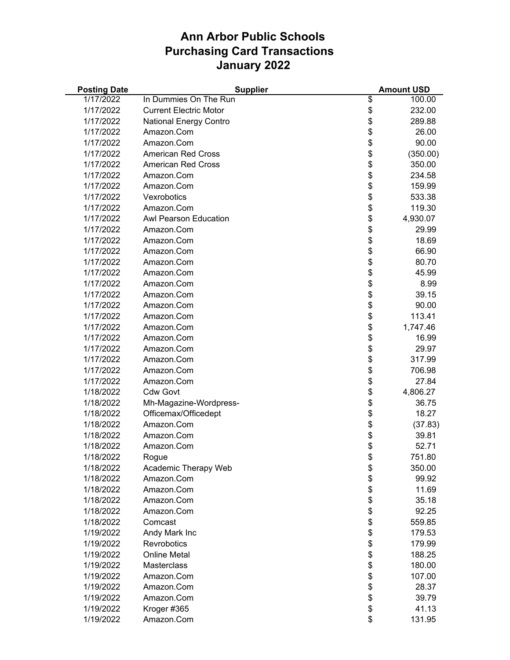| <b>Posting Date</b> | <b>Supplier</b>               |          | <b>Amount USD</b> |
|---------------------|-------------------------------|----------|-------------------|
| 1/17/2022           | In Dummies On The Run         | \$       | 100.00            |
| 1/17/2022           | <b>Current Electric Motor</b> | \$       | 232.00            |
| 1/17/2022           | <b>National Energy Contro</b> | \$       | 289.88            |
| 1/17/2022           | Amazon.Com                    | \$       | 26.00             |
| 1/17/2022           | Amazon.Com                    | \$       | 90.00             |
| 1/17/2022           | <b>American Red Cross</b>     | \$       | (350.00)          |
| 1/17/2022           | <b>American Red Cross</b>     | \$       | 350.00            |
| 1/17/2022           | Amazon.Com                    | \$       | 234.58            |
| 1/17/2022           | Amazon.Com                    | \$       | 159.99            |
| 1/17/2022           | Vexrobotics                   | \$       | 533.38            |
| 1/17/2022           | Amazon.Com                    | \$       | 119.30            |
| 1/17/2022           | <b>Awl Pearson Education</b>  | \$       | 4,930.07          |
| 1/17/2022           | Amazon.Com                    | \$       | 29.99             |
| 1/17/2022           | Amazon.Com                    | \$       | 18.69             |
| 1/17/2022           | Amazon.Com                    | \$       | 66.90             |
| 1/17/2022           | Amazon.Com                    | \$       | 80.70             |
| 1/17/2022           | Amazon.Com                    | \$       | 45.99             |
| 1/17/2022           | Amazon.Com                    | \$       | 8.99              |
| 1/17/2022           | Amazon.Com                    | \$       | 39.15             |
| 1/17/2022           | Amazon.Com                    | \$       | 90.00             |
| 1/17/2022           | Amazon.Com                    | \$       | 113.41            |
| 1/17/2022           | Amazon.Com                    | \$       | 1,747.46          |
| 1/17/2022           | Amazon.Com                    | \$       | 16.99             |
| 1/17/2022           | Amazon.Com                    | \$       | 29.97             |
| 1/17/2022           | Amazon.Com                    | \$       | 317.99            |
| 1/17/2022           | Amazon.Com                    | \$       | 706.98            |
| 1/17/2022           | Amazon.Com                    | \$       | 27.84             |
| 1/18/2022           | <b>Cdw Govt</b>               | \$       | 4,806.27          |
| 1/18/2022           | Mh-Magazine-Wordpress-        | \$       | 36.75             |
| 1/18/2022           | Officemax/Officedept          | \$       | 18.27             |
| 1/18/2022           | Amazon.Com                    | \$       | (37.83)           |
| 1/18/2022           | Amazon.Com                    | \$       | 39.81             |
| 1/18/2022           | Amazon.Com                    | \$       | 52.71             |
| 1/18/2022           | Rogue                         | \$.      | 751.80            |
| 1/18/2022           | Academic Therapy Web          | \$       | 350.00            |
| 1/18/2022           | Amazon.Com                    | \$       | 99.92             |
| 1/18/2022           | Amazon.Com                    | \$       | 11.69             |
| 1/18/2022           | Amazon.Com                    | \$<br>\$ | 35.18             |
| 1/18/2022           | Amazon.Com                    |          | 92.25             |
| 1/18/2022           | Comcast                       | \$       | 559.85            |
| 1/19/2022           | Andy Mark Inc                 | \$       | 179.53            |
| 1/19/2022           | Revrobotics                   | \$       | 179.99            |
| 1/19/2022           | <b>Online Metal</b>           | \$       | 188.25            |
| 1/19/2022           | Masterclass                   | \$       | 180.00            |
| 1/19/2022           | Amazon.Com                    | \$       | 107.00            |
| 1/19/2022           | Amazon.Com                    | \$       | 28.37             |
| 1/19/2022           | Amazon.Com                    | \$       | 39.79             |
| 1/19/2022           | Kroger #365                   | \$       | 41.13             |
| 1/19/2022           | Amazon.Com                    | \$       | 131.95            |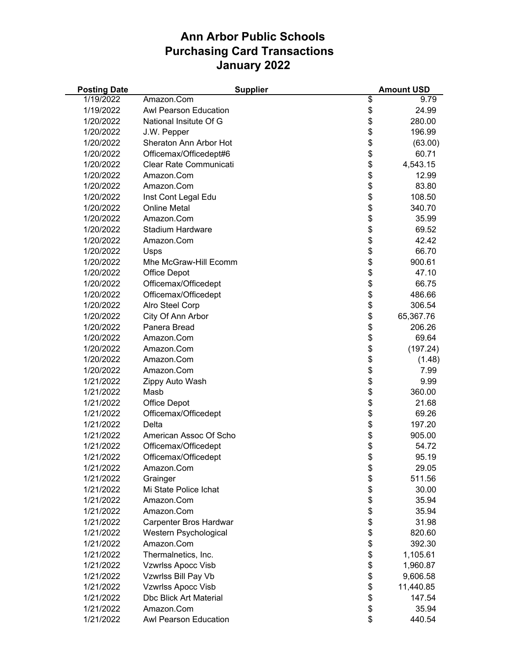| <b>Posting Date</b> | <b>Supplier</b>               |          | <b>Amount USD</b> |
|---------------------|-------------------------------|----------|-------------------|
| 1/19/2022           | Amazon.Com                    | \$       | 9.79              |
| 1/19/2022           | Awl Pearson Education         | \$       | 24.99             |
| 1/20/2022           | National Insitute Of G        | \$       | 280.00            |
| 1/20/2022           | J.W. Pepper                   | \$       | 196.99            |
| 1/20/2022           | Sheraton Ann Arbor Hot        | \$       | (63.00)           |
| 1/20/2022           | Officemax/Officedept#6        | \$       | 60.71             |
| 1/20/2022           | Clear Rate Communicati        | \$       | 4,543.15          |
| 1/20/2022           | Amazon.Com                    | \$       | 12.99             |
| 1/20/2022           | Amazon.Com                    | \$       | 83.80             |
| 1/20/2022           | Inst Cont Legal Edu           | \$       | 108.50            |
| 1/20/2022           | <b>Online Metal</b>           | \$       | 340.70            |
| 1/20/2022           | Amazon.Com                    | \$       | 35.99             |
| 1/20/2022           | <b>Stadium Hardware</b>       | \$       | 69.52             |
| 1/20/2022           | Amazon.Com                    | \$       | 42.42             |
| 1/20/2022           | Usps                          | \$       | 66.70             |
| 1/20/2022           | Mhe McGraw-Hill Ecomm         | \$       | 900.61            |
| 1/20/2022           | <b>Office Depot</b>           | \$       | 47.10             |
| 1/20/2022           | Officemax/Officedept          | \$       | 66.75             |
| 1/20/2022           | Officemax/Officedept          | \$       | 486.66            |
| 1/20/2022           | Alro Steel Corp               | \$       | 306.54            |
| 1/20/2022           | City Of Ann Arbor             | \$       | 65,367.76         |
| 1/20/2022           | Panera Bread                  | \$       | 206.26            |
| 1/20/2022           | Amazon.Com                    | \$       | 69.64             |
| 1/20/2022           | Amazon.Com                    | \$       | (197.24)          |
| 1/20/2022           | Amazon.Com                    |          | (1.48)            |
| 1/20/2022           | Amazon.Com                    | \$\$     | 7.99              |
| 1/21/2022           | Zippy Auto Wash               |          | 9.99              |
| 1/21/2022           | Masb                          | \$       | 360.00            |
| 1/21/2022           | <b>Office Depot</b>           | \$       | 21.68             |
| 1/21/2022           | Officemax/Officedept          | \$       | 69.26             |
| 1/21/2022           | Delta                         | \$       | 197.20            |
| 1/21/2022           | American Assoc Of Scho        | \$       | 905.00            |
| 1/21/2022           | Officemax/Officedept          | \$       | 54.72             |
| 1/21/2022           | Officemax/Officedept          | \$       | 95.19             |
| 1/21/2022           | Amazon.Com                    |          | 29.05             |
| 1/21/2022           | Grainger                      | \$<br>\$ | 511.56            |
| 1/21/2022           | Mi State Police Ichat         | \$       | 30.00             |
|                     |                               |          |                   |
| 1/21/2022           | Amazon.Com<br>Amazon.Com      | \$       | 35.94             |
| 1/21/2022           |                               | \$       | 35.94             |
| 1/21/2022           | Carpenter Bros Hardwar        | \$       | 31.98             |
| 1/21/2022           | Western Psychological         | \$       | 820.60            |
| 1/21/2022           | Amazon.Com                    | \$       | 392.30            |
| 1/21/2022           | Thermalnetics, Inc.           | \$       | 1,105.61          |
| 1/21/2022           | <b>Vzwrlss Apocc Visb</b>     | \$       | 1,960.87          |
| 1/21/2022           | Vzwrlss Bill Pay Vb           | \$       | 9,606.58          |
| 1/21/2022           | <b>Vzwrlss Apocc Visb</b>     | \$       | 11,440.85         |
| 1/21/2022           | <b>Dbc Blick Art Material</b> | \$       | 147.54            |
| 1/21/2022           | Amazon.Com                    | \$       | 35.94             |
| 1/21/2022           | Awl Pearson Education         | \$       | 440.54            |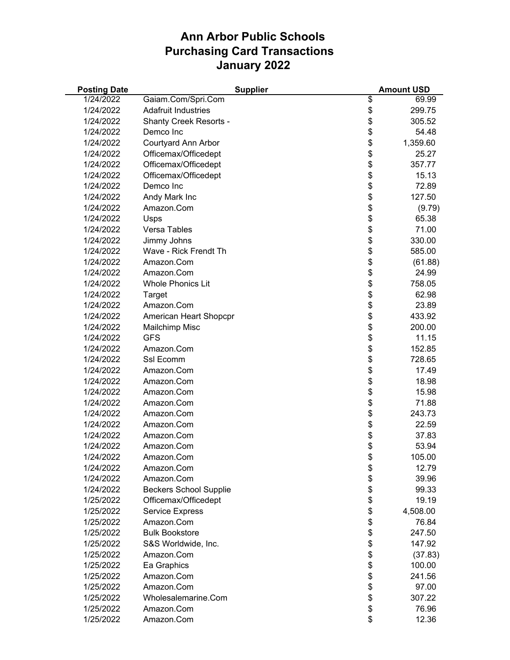| <b>Posting Date</b> | <b>Supplier</b>               | <b>Amount USD</b> |
|---------------------|-------------------------------|-------------------|
| 1/24/2022           | Gaiam.Com/Spri.Com            | \$<br>69.99       |
| 1/24/2022           | <b>Adafruit Industries</b>    | \$<br>299.75      |
| 1/24/2022           | <b>Shanty Creek Resorts -</b> | \$<br>305.52      |
| 1/24/2022           | Demco Inc                     | \$<br>54.48       |
| 1/24/2022           | <b>Courtyard Ann Arbor</b>    | \$<br>1,359.60    |
| 1/24/2022           | Officemax/Officedept          | \$<br>25.27       |
| 1/24/2022           | Officemax/Officedept          | \$<br>357.77      |
| 1/24/2022           | Officemax/Officedept          | 15.13             |
| 1/24/2022           | Demco Inc                     | \$<br>72.89       |
| 1/24/2022           | Andy Mark Inc                 | \$<br>127.50      |
| 1/24/2022           | Amazon.Com                    | \$<br>(9.79)      |
| 1/24/2022           | Usps                          | \$<br>65.38       |
| 1/24/2022           | Versa Tables                  | \$<br>71.00       |
| 1/24/2022           | Jimmy Johns                   | \$<br>330.00      |
| 1/24/2022           | Wave - Rick Frendt Th         | \$<br>585.00      |
| 1/24/2022           | Amazon.Com                    | \$<br>(61.88)     |
| 1/24/2022           | Amazon.Com                    | \$<br>24.99       |
| 1/24/2022           | <b>Whole Phonics Lit</b>      | \$<br>758.05      |
| 1/24/2022           | Target                        | \$<br>62.98       |
| 1/24/2022           | Amazon.Com                    | \$<br>23.89       |
| 1/24/2022           | American Heart Shopcpr        | \$<br>433.92      |
| 1/24/2022           | Mailchimp Misc                | \$<br>200.00      |
| 1/24/2022           | <b>GFS</b>                    | \$<br>11.15       |
| 1/24/2022           | Amazon.Com                    | \$<br>152.85      |
| 1/24/2022           | Ssl Ecomm                     | \$<br>728.65      |
| 1/24/2022           | Amazon.Com                    | \$<br>17.49       |
| 1/24/2022           | Amazon.Com                    | \$<br>18.98       |
| 1/24/2022           | Amazon.Com                    | \$<br>15.98       |
| 1/24/2022           | Amazon.Com                    | \$<br>71.88       |
| 1/24/2022           | Amazon.Com                    | \$<br>243.73      |
| 1/24/2022           | Amazon.Com                    | \$<br>22.59       |
| 1/24/2022           | Amazon.Com                    | \$<br>37.83       |
| 1/24/2022           | Amazon.Com                    | \$<br>53.94       |
| 1/24/2022           | Amazon.Com                    | \$<br>105.00      |
| 1/24/2022           | Amazon.Com                    | \$<br>12.79       |
| 1/24/2022           | Amazon.Com                    | \$<br>39.96       |
| 1/24/2022           | <b>Beckers School Supplie</b> | \$<br>99.33       |
| 1/25/2022           | Officemax/Officedept          | \$<br>19.19       |
| 1/25/2022           | <b>Service Express</b>        | \$<br>4,508.00    |
| 1/25/2022           | Amazon.Com                    | \$<br>76.84       |
| 1/25/2022           | <b>Bulk Bookstore</b>         | \$<br>247.50      |
| 1/25/2022           | S&S Worldwide, Inc.           | \$<br>147.92      |
| 1/25/2022           | Amazon.Com                    | \$<br>(37.83)     |
| 1/25/2022           | Ea Graphics                   | \$<br>100.00      |
| 1/25/2022           | Amazon.Com                    | \$<br>241.56      |
| 1/25/2022           | Amazon.Com                    | \$<br>97.00       |
| 1/25/2022           | Wholesalemarine.Com           | \$<br>307.22      |
| 1/25/2022           | Amazon.Com                    | \$<br>76.96       |
| 1/25/2022           | Amazon.Com                    | \$<br>12.36       |
|                     |                               |                   |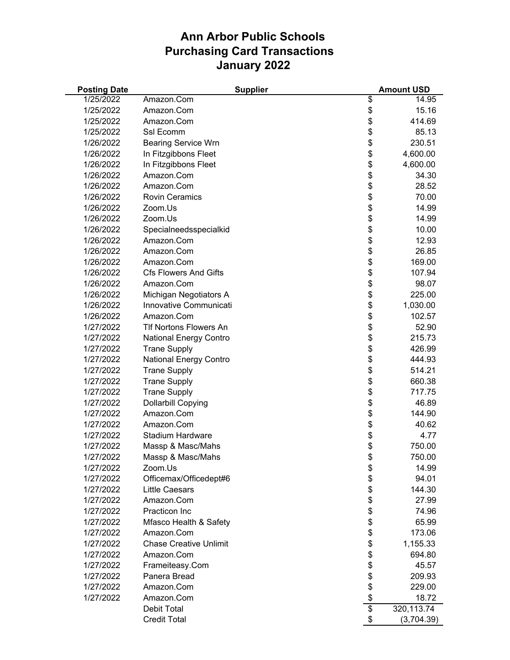| <b>Posting Date</b> |                               | <b>Supplier</b> |                 | <b>Amount USD</b> |
|---------------------|-------------------------------|-----------------|-----------------|-------------------|
| 1/25/2022           | Amazon.Com                    |                 | \$              | 14.95             |
| 1/25/2022           | Amazon.Com                    |                 | \$              | 15.16             |
| 1/25/2022           | Amazon.Com                    |                 | \$              | 414.69            |
| 1/25/2022           | Ssl Ecomm                     |                 | \$              | 85.13             |
| 1/26/2022           | <b>Bearing Service Wrn</b>    |                 | \$              | 230.51            |
| 1/26/2022           | In Fitzgibbons Fleet          |                 | \$              | 4,600.00          |
| 1/26/2022           | In Fitzgibbons Fleet          |                 | \$              | 4,600.00          |
| 1/26/2022           | Amazon.Com                    |                 | \$              | 34.30             |
| 1/26/2022           | Amazon.Com                    |                 | \$              | 28.52             |
| 1/26/2022           | <b>Rovin Ceramics</b>         |                 | \$              | 70.00             |
| 1/26/2022           | Zoom.Us                       |                 | \$              | 14.99             |
| 1/26/2022           | Zoom.Us                       |                 | \$              | 14.99             |
| 1/26/2022           | Specialneedsspecialkid        |                 | \$              | 10.00             |
| 1/26/2022           | Amazon.Com                    |                 | \$              | 12.93             |
| 1/26/2022           | Amazon.Com                    |                 | \$              | 26.85             |
| 1/26/2022           | Amazon.Com                    |                 | \$              | 169.00            |
| 1/26/2022           | <b>Cfs Flowers And Gifts</b>  |                 | \$              | 107.94            |
| 1/26/2022           | Amazon.Com                    |                 | \$              | 98.07             |
| 1/26/2022           | Michigan Negotiators A        |                 | \$              | 225.00            |
| 1/26/2022           | Innovative Communicati        |                 | \$              | 1,030.00          |
| 1/26/2022           | Amazon.Com                    |                 | \$              | 102.57            |
| 1/27/2022           | <b>TIf Nortons Flowers An</b> |                 | \$              | 52.90             |
| 1/27/2022           | <b>National Energy Contro</b> |                 | \$              | 215.73            |
| 1/27/2022           | <b>Trane Supply</b>           |                 | \$              | 426.99            |
| 1/27/2022           | <b>National Energy Contro</b> |                 | \$              | 444.93            |
| 1/27/2022           | <b>Trane Supply</b>           |                 | \$              | 514.21            |
| 1/27/2022           | <b>Trane Supply</b>           |                 | \$              | 660.38            |
| 1/27/2022           | <b>Trane Supply</b>           |                 | \$              | 717.75            |
| 1/27/2022           | Dollarbill Copying            |                 | \$              | 46.89             |
| 1/27/2022           | Amazon.Com                    |                 | \$              | 144.90            |
| 1/27/2022           | Amazon.Com                    |                 | \$              | 40.62             |
| 1/27/2022           | Stadium Hardware              |                 | \$              | 4.77              |
| 1/27/2022           | Massp & Masc/Mahs             |                 | \$              | 750.00            |
| 1/27/2022           | Massp & Masc/Mahs             |                 | \$              | 750.00            |
| 1/27/2022           | Zoom.Us                       |                 | \$              | 14.99             |
| 1/27/2022           | Officemax/Officedept#6        |                 | \$              | 94.01             |
| 1/27/2022           | <b>Little Caesars</b>         |                 | \$              | 144.30            |
| 1/27/2022           | Amazon.Com                    |                 | \$              | 27.99             |
| 1/27/2022           | Practicon Inc                 |                 | \$              | 74.96             |
| 1/27/2022           | Mfasco Health & Safety        |                 | \$              | 65.99             |
| 1/27/2022           | Amazon.Com                    |                 | \$              | 173.06            |
| 1/27/2022           | <b>Chase Creative Unlimit</b> |                 | \$              | 1,155.33          |
| 1/27/2022           | Amazon.Com                    |                 | \$              | 694.80            |
| 1/27/2022           | Frameiteasy.Com               |                 | \$              | 45.57             |
| 1/27/2022           | Panera Bread                  |                 | \$              | 209.93            |
| 1/27/2022           | Amazon.Com                    |                 | \$              | 229.00            |
| 1/27/2022           | Amazon.Com                    |                 | \$              | 18.72             |
|                     | Debit Total                   |                 | $\overline{\$}$ | 320, 113.74       |
|                     | <b>Credit Total</b>           |                 | \$              | (3,704.39)        |